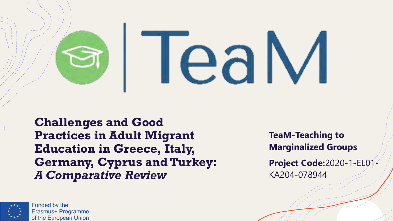

**Challenges and Good Practices in Adult Migrant Education in Greece, Italy, Germany, Cyprus and Turkey:**  *A Comparative Review*

**TeaM-Teaching to Marginalized Groups Project Code:**2020-1-EL01- KA204-078944



 $+$ 

**Funded by the** Erasmus+ Programme of the European Union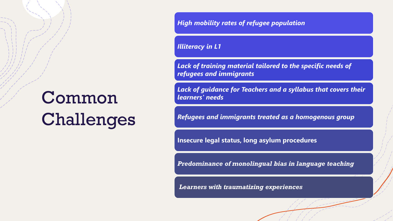# Common Challenges

*High mobility rates of refugee population*

*Illiteracy in L1*

*Lack of training material tailored to the specific needs of refugees and immigrants*

*Lack of guidance for Teachers and a syllabus that covers their learners' needs*

*Refugees and immigrants treated as a homogenous group*

**Insecure legal status, long asylum procedures**

*Predominance of monolingual bias in language teaching*

*Learners with traumatizing experiences*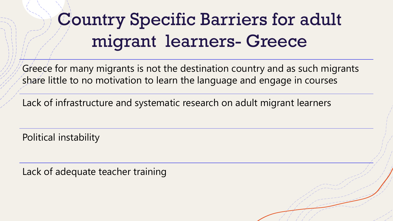# Country Specific Barriers for adult migrant learners- Greece

Greece for many migrants is not the destination country and as such migrants share little to no motivation to learn the language and engage in courses

Lack of infrastructure and systematic research on adult migrant learners

Political instability

Lack of adequate teacher training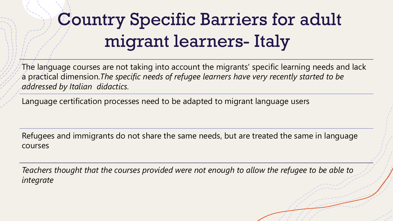# Country Specific Barriers for adult migrant learners- Italy

The language courses are not taking into account the migrants' specific learning needs and lack a practical dimension.*The specific needs of refugee learners have very recently started to be addressed by Italian didactics.*

Language certification processes need to be adapted to migrant language users

Refugees and immigrants do not share the same needs, but are treated the same in language courses

*Teachers thought that the courses provided were not enough to allow the refugee to be able to integrate*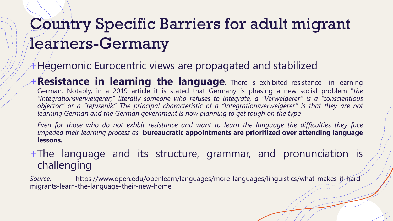## Country Specific Barriers for adult migrant learners-Germany

#### Hegemonic Eurocentric views are propagated and stabilized

- +**Resistance in learning the language.** There is exhibited resistance in learning German. Notably, in a 2019 article it is stated that Germany is phasing a new social problem "*the "Integrationsverweigerer;" literally someone who refuses to integrate, a "Verweigerer" is a "conscientious* objector" or a "refusenik." The principal characteristic of a "Integrationsverweigerer" is that they are not *learning German and the German government is now planning to get tough on the type"*
- + Even for those who do not exhbit resistance and want to learn the language the difficulties they face *impeded their learning process as* **bureaucratic appointments are prioritized over attending language lessons.**

+The language and its structure, grammar, and pronunciation is challenging

*Source:* https://www.open.edu/openlearn/languages/more-languages/linguistics/what-makes-it-hardmigrants-learn-the-language-their-new-home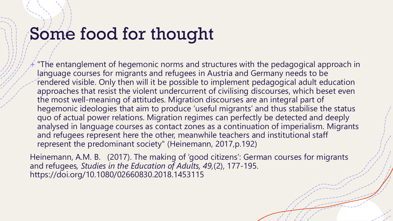### Some food for thought

"The entanglement of hegemonic norms and structures with the pedagogical approach in language courses for migrants and refugees in Austria and Germany needs to be rendered visible. Only then will it be possible to implement pedagogical adult education approaches that resist the violent undercurrent of civilising discourses, which beset even the most well-meaning of attitudes. Migration discourses are an integral part of hegemonic ideologies that aim to produce 'useful migrants' and thus stabilise the status quo of actual power relations. Migration regimes can perfectly be detected and deeply analysed in language courses as contact zones as a continuation of imperialism. Migrants and refugees represent here the other, meanwhile teachers and institutional staff represent the predominant society" (Heinemann, 2017,p.192)

Heinemann, A.M. B. (2017). The making of 'good citizens': German courses for migrants and refugees*, Studies in the Education of Adults, 49,*(2), 177-195. https://doi.org/10.1080/02660830.2018.1453115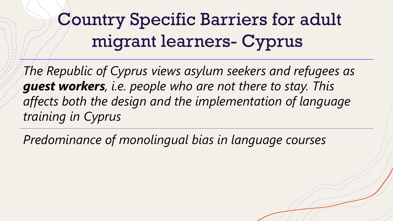# Country Specific Barriers for adult migrant learners- Cyprus

*The Republic of Cyprus views asylum seekers and refugees as guest workers, i.e. people who are not there to stay. This affects both the design and the implementation of language training in Cyprus*

*Predominance of monolingual bias in language courses*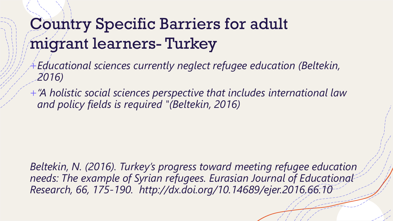## Country Specific Barriers for adult migrant learners- Turkey

- +*Educational sciences currently neglect refugee education (Beltekin, 2016)*
- +*"A holistic social sciences perspective that includes international law and policy fields is required "(Beltekin, 2016)*

*Beltekin, N. (2016). Turkey's progress toward meeting refugee education needs: The example of Syrian refugees. Eurasian Journal of Educational Research, 66, 175-190. http://dx.doi.org/10.14689/ejer.2016.66.10*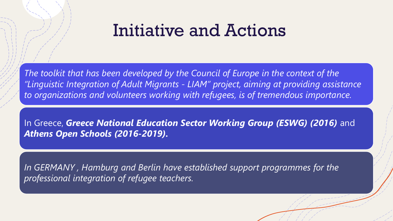#### Initiative and Actions

*The toolkit that has been developed by the Council of Europe in the context of the "Linguistic Integration of Adult Migrants - LIAM" project, aiming at providing assistance to organizations and volunteers working with refugees, is of tremendous importance.*

In Greece, Greece National Education Sector Working Group (ESWG) (2016) and *Athens Open Schools (2016-2019).*

*In GERMANY , Hamburg and Berlin have established support programmes for the professional integration of refugee teachers.*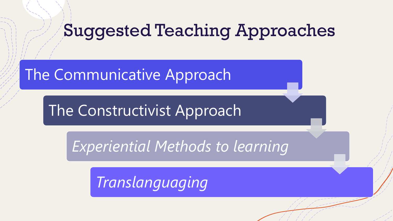#### Suggested Teaching Approaches

#### The Communicative Approach

The Constructivist Approach

*Experiential Methods to learning*

*Translanguaging*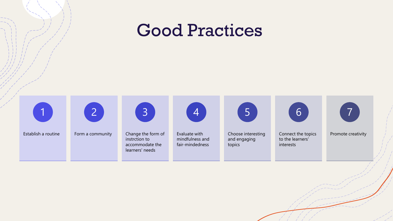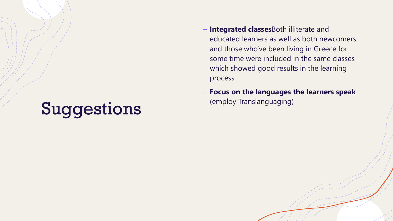## Suggestions

- + **Integrated classes**Both illiterate and educated learners as well as both newcomers and those who've been living in Greece for some time were included in the same classes which showed good results in the learning process
- + **Focus on the languages the learners speak** (employ Translanguaging)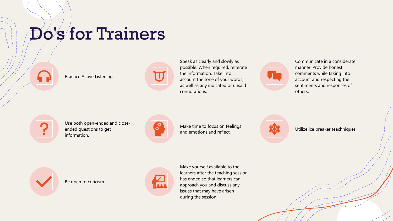## Do's for Trainers



Practice Active Listening



Speak as clearly and slowly as possible. When required, reiterate the information. Take into account the tone of your words, as well as any indicated or unsaid connotations.

Communicate in a considerate manner. Provide honest comments while taking into account and respecting the sentiments and responses of others*.*



Use both open-ended and closeended questions to get information.



Make time to focus on feelings and emotions and reflect.





Be open to criticism



Make yourself available to the learners after the teaching session has ended so that learners can approach you and discuss any issues that may have arisen during the session.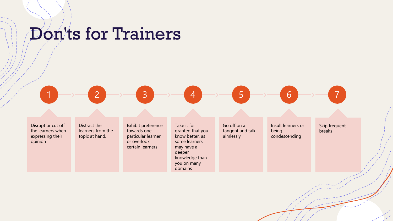### Don'ts for Trainers